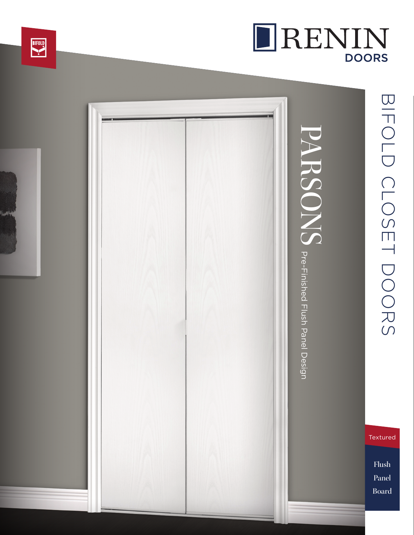

# BIFOLD CLOSET DORS BIFOLD CLOSET DOORS

DRENIN